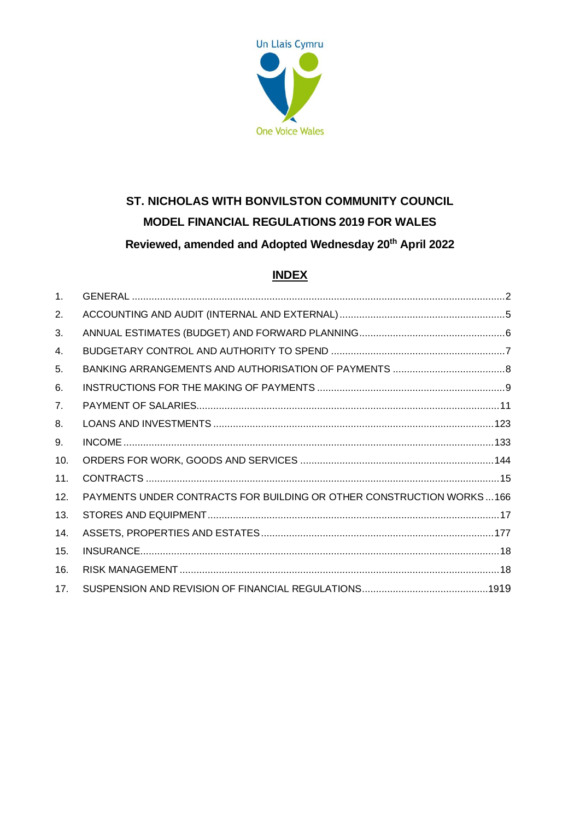

# **ST. NICHOLAS WITH BONVILSTON COMMUNITY COUNCIL MODEL FINANCIAL REGULATIONS 2019 FOR WALES Reviewed, amended and Adopted Wednesday 20th April 2022**

# **INDEX**

| $\mathbf{1}$ . |                                                                      |  |
|----------------|----------------------------------------------------------------------|--|
| 2.             |                                                                      |  |
| 3.             |                                                                      |  |
| 4.             |                                                                      |  |
| 5.             |                                                                      |  |
| 6.             |                                                                      |  |
| 7 <sub>1</sub> |                                                                      |  |
| 8.             |                                                                      |  |
| 9.             |                                                                      |  |
| 10.            |                                                                      |  |
| 11.            |                                                                      |  |
| 12.            | PAYMENTS UNDER CONTRACTS FOR BUILDING OR OTHER CONSTRUCTION WORKS166 |  |
| 13.            |                                                                      |  |
| 14.            |                                                                      |  |
| 15.            |                                                                      |  |
| 16.            |                                                                      |  |
| 17.            |                                                                      |  |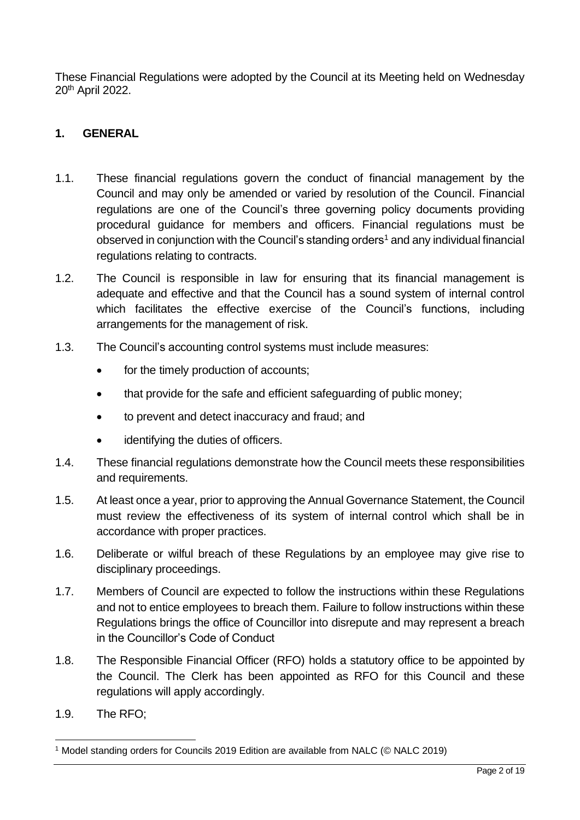These Financial Regulations were adopted by the Council at its Meeting held on Wednesday 20th April 2022.

#### <span id="page-1-0"></span>**1. GENERAL**

- 1.1. These financial regulations govern the conduct of financial management by the Council and may only be amended or varied by resolution of the Council. Financial regulations are one of the Council's three governing policy documents providing procedural guidance for members and officers. Financial regulations must be observed in conjunction with the Council's standing orders<sup>1</sup> and any individual financial regulations relating to contracts.
- 1.2. The Council is responsible in law for ensuring that its financial management is adequate and effective and that the Council has a sound system of internal control which facilitates the effective exercise of the Council's functions, including arrangements for the management of risk.
- 1.3. The Council's accounting control systems must include measures:
	- for the timely production of accounts;
	- that provide for the safe and efficient safeguarding of public money;
	- to prevent and detect inaccuracy and fraud; and
	- identifying the duties of officers.
- 1.4. These financial regulations demonstrate how the Council meets these responsibilities and requirements.
- 1.5. At least once a year, prior to approving the Annual Governance Statement, the Council must review the effectiveness of its system of internal control which shall be in accordance with proper practices.
- 1.6. Deliberate or wilful breach of these Regulations by an employee may give rise to disciplinary proceedings.
- 1.7. Members of Council are expected to follow the instructions within these Regulations and not to entice employees to breach them. Failure to follow instructions within these Regulations brings the office of Councillor into disrepute and may represent a breach in the Councillor's Code of Conduct
- 1.8. The Responsible Financial Officer (RFO) holds a statutory office to be appointed by the Council. The Clerk has been appointed as RFO for this Council and these regulations will apply accordingly.
- 1.9. The RFO;

<sup>&</sup>lt;sup>1</sup> Model standing orders for Councils 2019 Edition are available from NALC (© NALC 2019)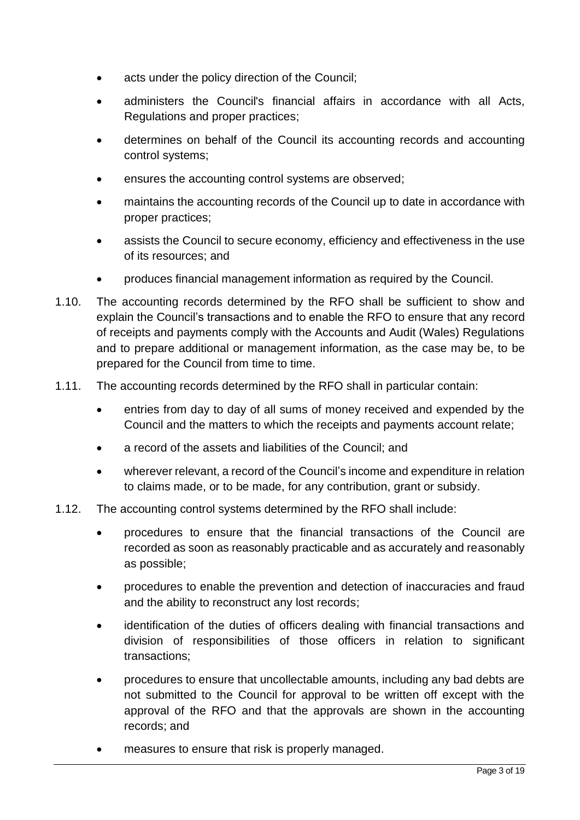- acts under the policy direction of the Council;
- administers the Council's financial affairs in accordance with all Acts, Regulations and proper practices;
- determines on behalf of the Council its accounting records and accounting control systems;
- ensures the accounting control systems are observed;
- maintains the accounting records of the Council up to date in accordance with proper practices;
- assists the Council to secure economy, efficiency and effectiveness in the use of its resources; and
- produces financial management information as required by the Council.
- 1.10. The accounting records determined by the RFO shall be sufficient to show and explain the Council's transactions and to enable the RFO to ensure that any record of receipts and payments comply with the Accounts and Audit (Wales) Regulations and to prepare additional or management information, as the case may be, to be prepared for the Council from time to time.
- 1.11. The accounting records determined by the RFO shall in particular contain:
	- entries from day to day of all sums of money received and expended by the Council and the matters to which the receipts and payments account relate;
	- a record of the assets and liabilities of the Council; and
	- wherever relevant, a record of the Council's income and expenditure in relation to claims made, or to be made, for any contribution, grant or subsidy.
- 1.12. The accounting control systems determined by the RFO shall include:
	- procedures to ensure that the financial transactions of the Council are recorded as soon as reasonably practicable and as accurately and reasonably as possible;
	- procedures to enable the prevention and detection of inaccuracies and fraud and the ability to reconstruct any lost records;
	- identification of the duties of officers dealing with financial transactions and division of responsibilities of those officers in relation to significant transactions;
	- procedures to ensure that uncollectable amounts, including any bad debts are not submitted to the Council for approval to be written off except with the approval of the RFO and that the approvals are shown in the accounting records; and
	- measures to ensure that risk is properly managed.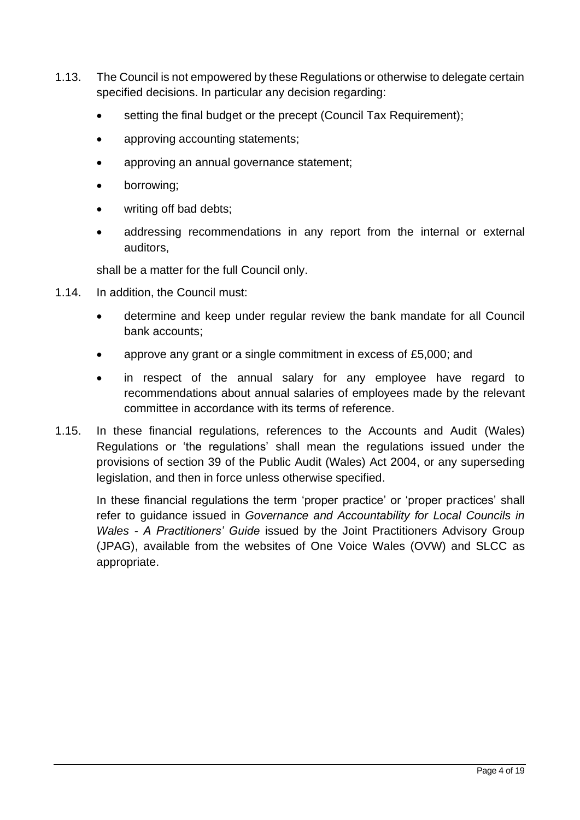- 1.13. The Council is not empowered by these Regulations or otherwise to delegate certain specified decisions. In particular any decision regarding:
	- setting the final budget or the precept (Council Tax Requirement);
	- approving accounting statements;
	- approving an annual governance statement;
	- borrowing;
	- writing off bad debts:
	- addressing recommendations in any report from the internal or external auditors,

shall be a matter for the full Council only.

- 1.14. In addition, the Council must:
	- determine and keep under regular review the bank mandate for all Council bank accounts;
	- approve any grant or a single commitment in excess of £5,000; and
	- in respect of the annual salary for any employee have regard to recommendations about annual salaries of employees made by the relevant committee in accordance with its terms of reference.
- 1.15. In these financial regulations, references to the Accounts and Audit (Wales) Regulations or 'the regulations' shall mean the regulations issued under the provisions of section 39 of the Public Audit (Wales) Act 2004, or any superseding legislation, and then in force unless otherwise specified.

<span id="page-3-0"></span>In these financial regulations the term 'proper practice' or 'proper practices' shall refer to guidance issued in *Governance and Accountability for Local Councils in Wales - A Practitioners' Guide* issued by the Joint Practitioners Advisory Group (JPAG), available from the websites of One Voice Wales (OVW) and SLCC as appropriate.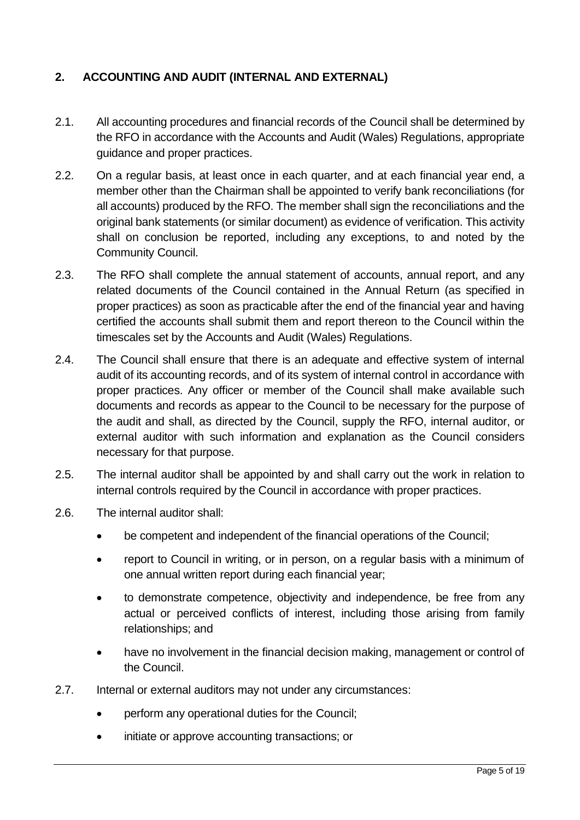# **2. ACCOUNTING AND AUDIT (INTERNAL AND EXTERNAL)**

- 2.1. All accounting procedures and financial records of the Council shall be determined by the RFO in accordance with the Accounts and Audit (Wales) Regulations, appropriate guidance and proper practices.
- 2.2. On a regular basis, at least once in each quarter, and at each financial year end, a member other than the Chairman shall be appointed to verify bank reconciliations (for all accounts) produced by the RFO. The member shall sign the reconciliations and the original bank statements (or similar document) as evidence of verification. This activity shall on conclusion be reported, including any exceptions, to and noted by the Community Council.
- 2.3. The RFO shall complete the annual statement of accounts, annual report, and any related documents of the Council contained in the Annual Return (as specified in proper practices) as soon as practicable after the end of the financial year and having certified the accounts shall submit them and report thereon to the Council within the timescales set by the Accounts and Audit (Wales) Regulations.
- 2.4. The Council shall ensure that there is an adequate and effective system of internal audit of its accounting records, and of its system of internal control in accordance with proper practices. Any officer or member of the Council shall make available such documents and records as appear to the Council to be necessary for the purpose of the audit and shall, as directed by the Council, supply the RFO, internal auditor, or external auditor with such information and explanation as the Council considers necessary for that purpose.
- 2.5. The internal auditor shall be appointed by and shall carry out the work in relation to internal controls required by the Council in accordance with proper practices.
- 2.6. The internal auditor shall:
	- be competent and independent of the financial operations of the Council;
	- report to Council in writing, or in person, on a regular basis with a minimum of one annual written report during each financial year;
	- to demonstrate competence, objectivity and independence, be free from any actual or perceived conflicts of interest, including those arising from family relationships; and
	- have no involvement in the financial decision making, management or control of the Council.
- 2.7. Internal or external auditors may not under any circumstances:
	- perform any operational duties for the Council;
	- initiate or approve accounting transactions; or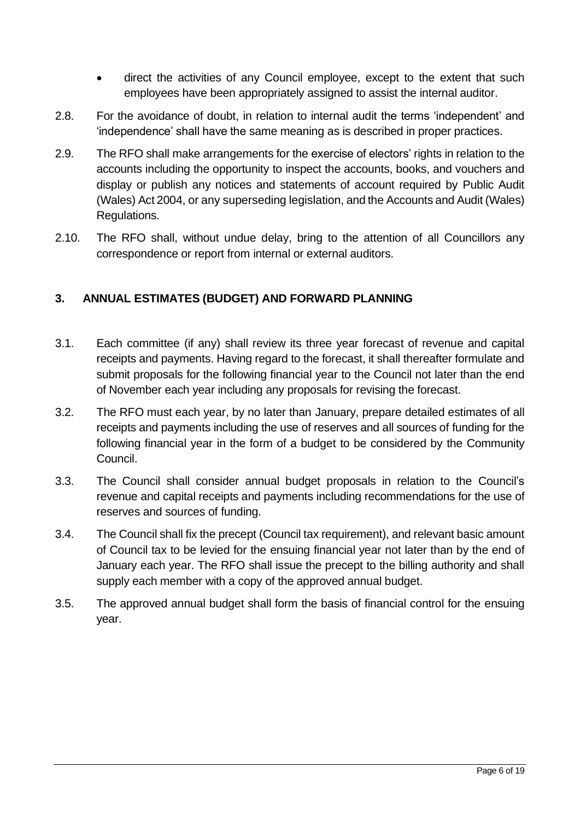- direct the activities of any Council employee, except to the extent that such employees have been appropriately assigned to assist the internal auditor.
- 2.8. For the avoidance of doubt, in relation to internal audit the terms 'independent' and 'independence' shall have the same meaning as is described in proper practices.
- 2.9. The RFO shall make arrangements for the exercise of electors' rights in relation to the accounts including the opportunity to inspect the accounts, books, and vouchers and display or publish any notices and statements of account required by Public Audit (Wales) Act 2004, or any superseding legislation, and the Accounts and Audit (Wales) Regulations.
- 2.10. The RFO shall, without undue delay, bring to the attention of all Councillors any correspondence or report from internal or external auditors.

## <span id="page-5-0"></span>**3. ANNUAL ESTIMATES (BUDGET) AND FORWARD PLANNING**

- 3.1. Each committee (if any) shall review its three year forecast of revenue and capital receipts and payments. Having regard to the forecast, it shall thereafter formulate and submit proposals for the following financial year to the Council not later than the end of November each year including any proposals for revising the forecast.
- 3.2. The RFO must each year, by no later than January, prepare detailed estimates of all receipts and payments including the use of reserves and all sources of funding for the following financial year in the form of a budget to be considered by the Community Council.
- 3.3. The Council shall consider annual budget proposals in relation to the Council's revenue and capital receipts and payments including recommendations for the use of reserves and sources of funding.
- 3.4. The Council shall fix the precept (Council tax requirement), and relevant basic amount of Council tax to be levied for the ensuing financial year not later than by the end of January each year. The RFO shall issue the precept to the billing authority and shall supply each member with a copy of the approved annual budget.
- <span id="page-5-1"></span>3.5. The approved annual budget shall form the basis of financial control for the ensuing year.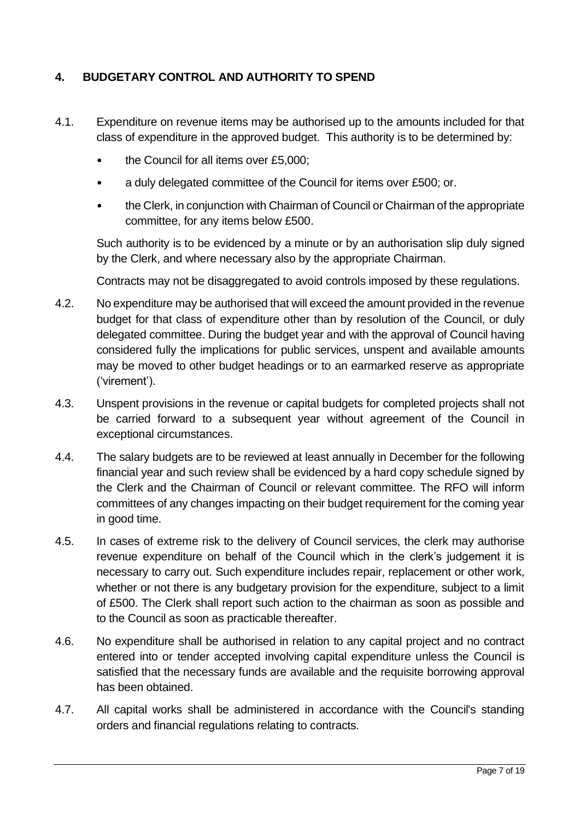# **4. BUDGETARY CONTROL AND AUTHORITY TO SPEND**

- 4.1. Expenditure on revenue items may be authorised up to the amounts included for that class of expenditure in the approved budget. This authority is to be determined by:
	- the Council for all items over £5,000;
	- a duly delegated committee of the Council for items over £500; or.
	- the Clerk, in conjunction with Chairman of Council or Chairman of the appropriate committee, for any items below £500.

Such authority is to be evidenced by a minute or by an authorisation slip duly signed by the Clerk, and where necessary also by the appropriate Chairman.

Contracts may not be disaggregated to avoid controls imposed by these regulations.

- 4.2. No expenditure may be authorised that will exceed the amount provided in the revenue budget for that class of expenditure other than by resolution of the Council, or duly delegated committee. During the budget year and with the approval of Council having considered fully the implications for public services, unspent and available amounts may be moved to other budget headings or to an earmarked reserve as appropriate ('virement').
- 4.3. Unspent provisions in the revenue or capital budgets for completed projects shall not be carried forward to a subsequent year without agreement of the Council in exceptional circumstances.
- 4.4. The salary budgets are to be reviewed at least annually in December for the following financial year and such review shall be evidenced by a hard copy schedule signed by the Clerk and the Chairman of Council or relevant committee. The RFO will inform committees of any changes impacting on their budget requirement for the coming year in good time.
- 4.5. In cases of extreme risk to the delivery of Council services, the clerk may authorise revenue expenditure on behalf of the Council which in the clerk's judgement it is necessary to carry out. Such expenditure includes repair, replacement or other work, whether or not there is any budgetary provision for the expenditure, subject to a limit of £500. The Clerk shall report such action to the chairman as soon as possible and to the Council as soon as practicable thereafter.
- 4.6. No expenditure shall be authorised in relation to any capital project and no contract entered into or tender accepted involving capital expenditure unless the Council is satisfied that the necessary funds are available and the requisite borrowing approval has been obtained.
- 4.7. All capital works shall be administered in accordance with the Council's standing orders and financial regulations relating to contracts.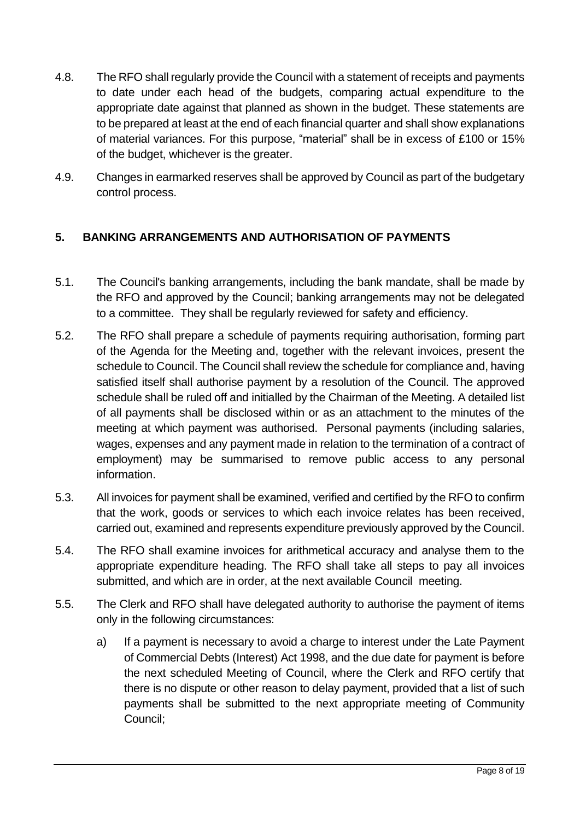- 4.8. The RFO shall regularly provide the Council with a statement of receipts and payments to date under each head of the budgets, comparing actual expenditure to the appropriate date against that planned as shown in the budget. These statements are to be prepared at least at the end of each financial quarter and shall show explanations of material variances. For this purpose, "material" shall be in excess of £100 or 15% of the budget, whichever is the greater.
- 4.9. Changes in earmarked reserves shall be approved by Council as part of the budgetary control process.

# <span id="page-7-0"></span>**5. BANKING ARRANGEMENTS AND AUTHORISATION OF PAYMENTS**

- 5.1. The Council's banking arrangements, including the bank mandate, shall be made by the RFO and approved by the Council; banking arrangements may not be delegated to a committee. They shall be regularly reviewed for safety and efficiency.
- 5.2. The RFO shall prepare a schedule of payments requiring authorisation, forming part of the Agenda for the Meeting and, together with the relevant invoices, present the schedule to Council. The Council shall review the schedule for compliance and, having satisfied itself shall authorise payment by a resolution of the Council. The approved schedule shall be ruled off and initialled by the Chairman of the Meeting. A detailed list of all payments shall be disclosed within or as an attachment to the minutes of the meeting at which payment was authorised. Personal payments (including salaries, wages, expenses and any payment made in relation to the termination of a contract of employment) may be summarised to remove public access to any personal information.
- 5.3. All invoices for payment shall be examined, verified and certified by the RFO to confirm that the work, goods or services to which each invoice relates has been received, carried out, examined and represents expenditure previously approved by the Council.
- 5.4. The RFO shall examine invoices for arithmetical accuracy and analyse them to the appropriate expenditure heading. The RFO shall take all steps to pay all invoices submitted, and which are in order, at the next available Council meeting.
- 5.5. The Clerk and RFO shall have delegated authority to authorise the payment of items only in the following circumstances:
	- a) If a payment is necessary to avoid a charge to interest under the Late Payment of Commercial Debts (Interest) Act 1998, and the due date for payment is before the next scheduled Meeting of Council, where the Clerk and RFO certify that there is no dispute or other reason to delay payment, provided that a list of such payments shall be submitted to the next appropriate meeting of Community Council;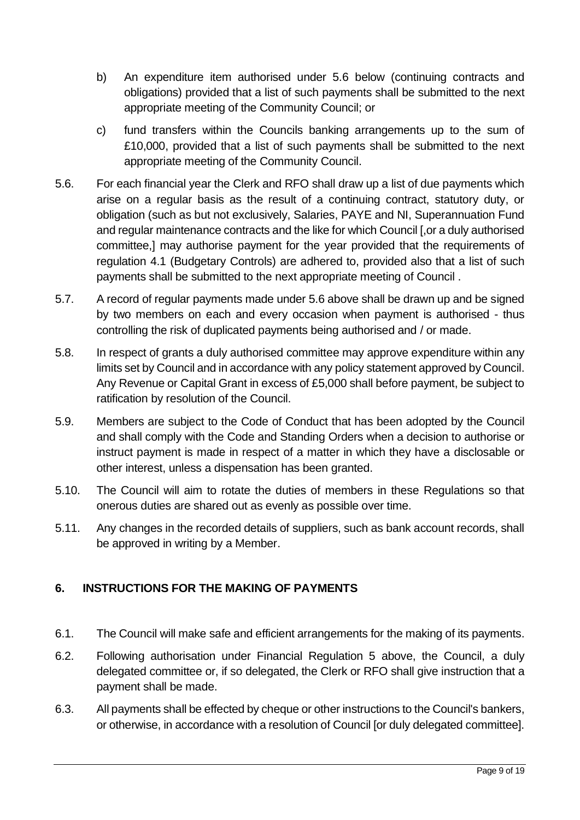- b) An expenditure item authorised under 5.6 below (continuing contracts and obligations) provided that a list of such payments shall be submitted to the next appropriate meeting of the Community Council; or
- c) fund transfers within the Councils banking arrangements up to the sum of £10,000, provided that a list of such payments shall be submitted to the next appropriate meeting of the Community Council.
- 5.6. For each financial year the Clerk and RFO shall draw up a list of due payments which arise on a regular basis as the result of a continuing contract, statutory duty, or obligation (such as but not exclusively, Salaries, PAYE and NI, Superannuation Fund and regular maintenance contracts and the like for which Council [,or a duly authorised committee,] may authorise payment for the year provided that the requirements of regulation 4.1 (Budgetary Controls) are adhered to, provided also that a list of such payments shall be submitted to the next appropriate meeting of Council .
- 5.7. A record of regular payments made under 5.6 above shall be drawn up and be signed by two members on each and every occasion when payment is authorised - thus controlling the risk of duplicated payments being authorised and / or made.
- 5.8. In respect of grants a duly authorised committee may approve expenditure within any limits set by Council and in accordance with any policy statement approved by Council. Any Revenue or Capital Grant in excess of £5,000 shall before payment, be subject to ratification by resolution of the Council.
- 5.9. Members are subject to the Code of Conduct that has been adopted by the Council and shall comply with the Code and Standing Orders when a decision to authorise or instruct payment is made in respect of a matter in which they have a disclosable or other interest, unless a dispensation has been granted.
- 5.10. The Council will aim to rotate the duties of members in these Regulations so that onerous duties are shared out as evenly as possible over time.
- 5.11. Any changes in the recorded details of suppliers, such as bank account records, shall be approved in writing by a Member.

# <span id="page-8-0"></span>**6. INSTRUCTIONS FOR THE MAKING OF PAYMENTS**

- 6.1. The Council will make safe and efficient arrangements for the making of its payments.
- 6.2. Following authorisation under Financial Regulation 5 above, the Council, a duly delegated committee or, if so delegated, the Clerk or RFO shall give instruction that a payment shall be made.
- 6.3. All payments shall be effected by cheque or other instructions to the Council's bankers, or otherwise, in accordance with a resolution of Council [or duly delegated committee].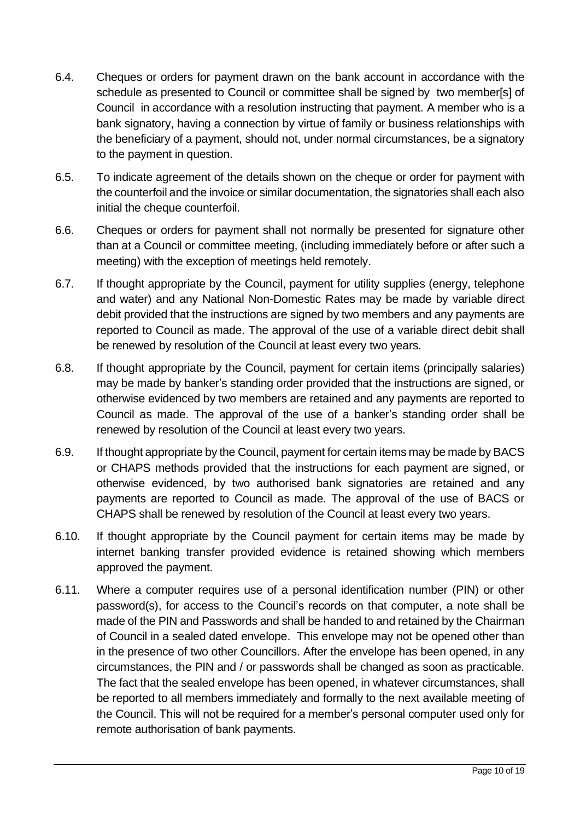- 6.4. Cheques or orders for payment drawn on the bank account in accordance with the schedule as presented to Council or committee shall be signed by two member[s] of Council in accordance with a resolution instructing that payment. A member who is a bank signatory, having a connection by virtue of family or business relationships with the beneficiary of a payment, should not, under normal circumstances, be a signatory to the payment in question.
- 6.5. To indicate agreement of the details shown on the cheque or order for payment with the counterfoil and the invoice or similar documentation, the signatories shall each also initial the cheque counterfoil.
- 6.6. Cheques or orders for payment shall not normally be presented for signature other than at a Council or committee meeting, (including immediately before or after such a meeting) with the exception of meetings held remotely.
- 6.7. If thought appropriate by the Council, payment for utility supplies (energy, telephone and water) and any National Non-Domestic Rates may be made by variable direct debit provided that the instructions are signed by two members and any payments are reported to Council as made. The approval of the use of a variable direct debit shall be renewed by resolution of the Council at least every two years.
- 6.8. If thought appropriate by the Council, payment for certain items (principally salaries) may be made by banker's standing order provided that the instructions are signed, or otherwise evidenced by two members are retained and any payments are reported to Council as made. The approval of the use of a banker's standing order shall be renewed by resolution of the Council at least every two years.
- 6.9. If thought appropriate by the Council, payment for certain items may be made by BACS or CHAPS methods provided that the instructions for each payment are signed, or otherwise evidenced, by two authorised bank signatories are retained and any payments are reported to Council as made. The approval of the use of BACS or CHAPS shall be renewed by resolution of the Council at least every two years.
- 6.10. If thought appropriate by the Council payment for certain items may be made by internet banking transfer provided evidence is retained showing which members approved the payment.
- 6.11. Where a computer requires use of a personal identification number (PIN) or other password(s), for access to the Council's records on that computer, a note shall be made of the PIN and Passwords and shall be handed to and retained by the Chairman of Council in a sealed dated envelope. This envelope may not be opened other than in the presence of two other Councillors. After the envelope has been opened, in any circumstances, the PIN and / or passwords shall be changed as soon as practicable. The fact that the sealed envelope has been opened, in whatever circumstances, shall be reported to all members immediately and formally to the next available meeting of the Council. This will not be required for a member's personal computer used only for remote authorisation of bank payments.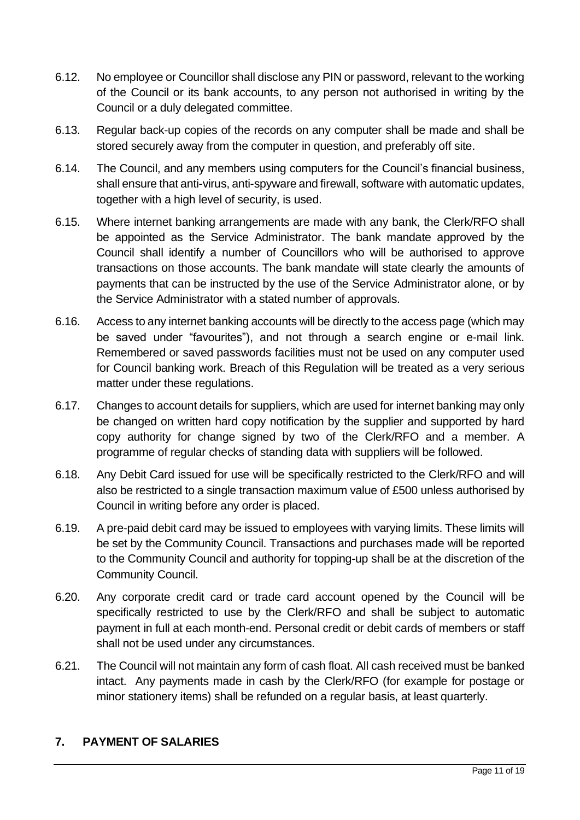- 6.12. No employee or Councillor shall disclose any PIN or password, relevant to the working of the Council or its bank accounts, to any person not authorised in writing by the Council or a duly delegated committee.
- 6.13. Regular back-up copies of the records on any computer shall be made and shall be stored securely away from the computer in question, and preferably off site.
- 6.14. The Council, and any members using computers for the Council's financial business, shall ensure that anti-virus, anti-spyware and firewall, software with automatic updates, together with a high level of security, is used.
- 6.15. Where internet banking arrangements are made with any bank, the Clerk/RFO shall be appointed as the Service Administrator. The bank mandate approved by the Council shall identify a number of Councillors who will be authorised to approve transactions on those accounts. The bank mandate will state clearly the amounts of payments that can be instructed by the use of the Service Administrator alone, or by the Service Administrator with a stated number of approvals.
- 6.16. Access to any internet banking accounts will be directly to the access page (which may be saved under "favourites"), and not through a search engine or e-mail link. Remembered or saved passwords facilities must not be used on any computer used for Council banking work. Breach of this Regulation will be treated as a very serious matter under these regulations.
- 6.17. Changes to account details for suppliers, which are used for internet banking may only be changed on written hard copy notification by the supplier and supported by hard copy authority for change signed by two of the Clerk/RFO and a member. A programme of regular checks of standing data with suppliers will be followed.
- 6.18. Any Debit Card issued for use will be specifically restricted to the Clerk/RFO and will also be restricted to a single transaction maximum value of £500 unless authorised by Council in writing before any order is placed.
- 6.19. A pre-paid debit card may be issued to employees with varying limits. These limits will be set by the Community Council. Transactions and purchases made will be reported to the Community Council and authority for topping-up shall be at the discretion of the Community Council.
- 6.20. Any corporate credit card or trade card account opened by the Council will be specifically restricted to use by the Clerk/RFO and shall be subject to automatic payment in full at each month-end. Personal credit or debit cards of members or staff shall not be used under any circumstances.
- 6.21. The Council will not maintain any form of cash float. All cash received must be banked intact. Any payments made in cash by the Clerk/RFO (for example for postage or minor stationery items) shall be refunded on a regular basis, at least quarterly.

#### <span id="page-10-0"></span>**7. PAYMENT OF SALARIES**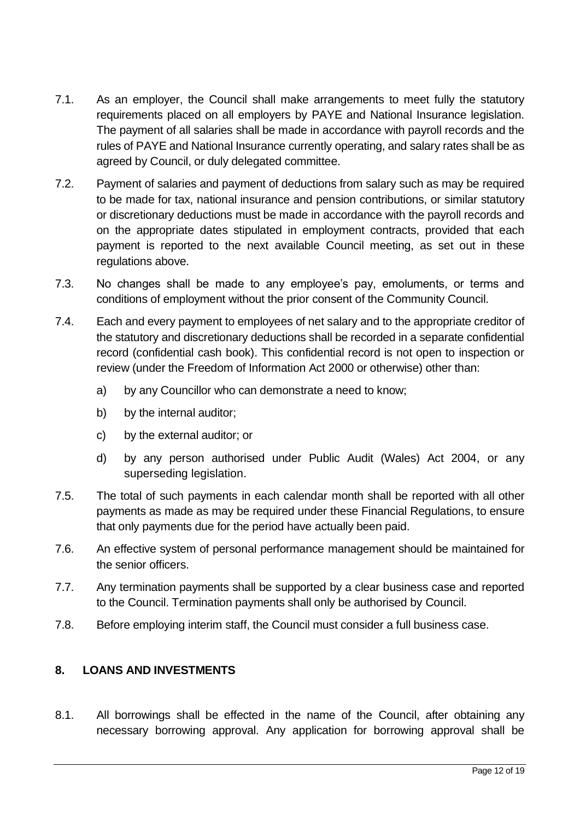- 7.1. As an employer, the Council shall make arrangements to meet fully the statutory requirements placed on all employers by PAYE and National Insurance legislation. The payment of all salaries shall be made in accordance with payroll records and the rules of PAYE and National Insurance currently operating, and salary rates shall be as agreed by Council, or duly delegated committee.
- 7.2. Payment of salaries and payment of deductions from salary such as may be required to be made for tax, national insurance and pension contributions, or similar statutory or discretionary deductions must be made in accordance with the payroll records and on the appropriate dates stipulated in employment contracts, provided that each payment is reported to the next available Council meeting, as set out in these regulations above.
- 7.3. No changes shall be made to any employee's pay, emoluments, or terms and conditions of employment without the prior consent of the Community Council.
- 7.4. Each and every payment to employees of net salary and to the appropriate creditor of the statutory and discretionary deductions shall be recorded in a separate confidential record (confidential cash book). This confidential record is not open to inspection or review (under the Freedom of Information Act 2000 or otherwise) other than:
	- a) by any Councillor who can demonstrate a need to know;
	- b) by the internal auditor;
	- c) by the external auditor; or
	- d) by any person authorised under Public Audit (Wales) Act 2004, or any superseding legislation.
- 7.5. The total of such payments in each calendar month shall be reported with all other payments as made as may be required under these Financial Regulations, to ensure that only payments due for the period have actually been paid.
- 7.6. An effective system of personal performance management should be maintained for the senior officers.
- 7.7. Any termination payments shall be supported by a clear business case and reported to the Council. Termination payments shall only be authorised by Council.
- 7.8. Before employing interim staff, the Council must consider a full business case.

#### <span id="page-11-0"></span>**8. LOANS AND INVESTMENTS**

8.1. All borrowings shall be effected in the name of the Council, after obtaining any necessary borrowing approval. Any application for borrowing approval shall be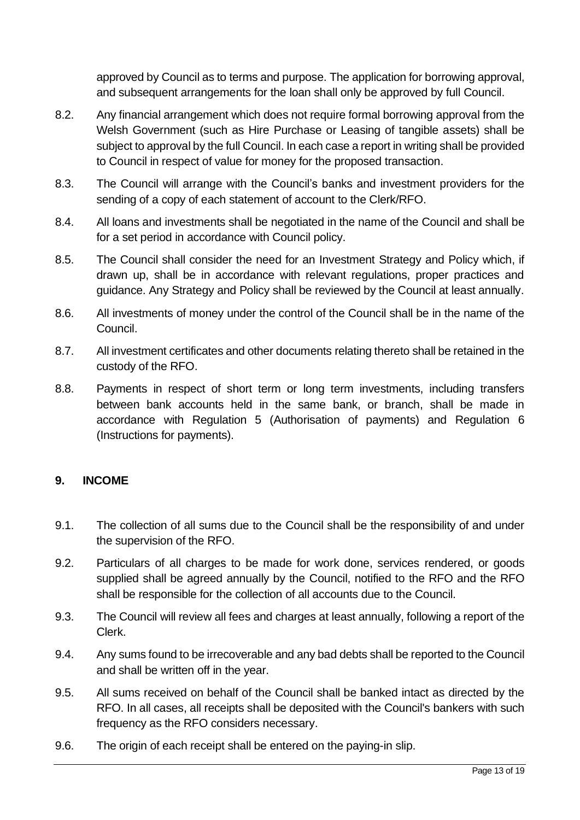approved by Council as to terms and purpose. The application for borrowing approval, and subsequent arrangements for the loan shall only be approved by full Council.

- 8.2. Any financial arrangement which does not require formal borrowing approval from the Welsh Government (such as Hire Purchase or Leasing of tangible assets) shall be subject to approval by the full Council. In each case a report in writing shall be provided to Council in respect of value for money for the proposed transaction.
- 8.3. The Council will arrange with the Council's banks and investment providers for the sending of a copy of each statement of account to the Clerk/RFO.
- 8.4. All loans and investments shall be negotiated in the name of the Council and shall be for a set period in accordance with Council policy.
- 8.5. The Council shall consider the need for an Investment Strategy and Policy which, if drawn up, shall be in accordance with relevant regulations, proper practices and guidance. Any Strategy and Policy shall be reviewed by the Council at least annually.
- 8.6. All investments of money under the control of the Council shall be in the name of the Council.
- 8.7. All investment certificates and other documents relating thereto shall be retained in the custody of the RFO.
- 8.8. Payments in respect of short term or long term investments, including transfers between bank accounts held in the same bank, or branch, shall be made in accordance with Regulation 5 (Authorisation of payments) and Regulation 6 (Instructions for payments).

#### <span id="page-12-0"></span>**9. INCOME**

- 9.1. The collection of all sums due to the Council shall be the responsibility of and under the supervision of the RFO.
- 9.2. Particulars of all charges to be made for work done, services rendered, or goods supplied shall be agreed annually by the Council, notified to the RFO and the RFO shall be responsible for the collection of all accounts due to the Council.
- 9.3. The Council will review all fees and charges at least annually, following a report of the Clerk.
- 9.4. Any sums found to be irrecoverable and any bad debts shall be reported to the Council and shall be written off in the year.
- 9.5. All sums received on behalf of the Council shall be banked intact as directed by the RFO. In all cases, all receipts shall be deposited with the Council's bankers with such frequency as the RFO considers necessary.
- 9.6. The origin of each receipt shall be entered on the paying-in slip.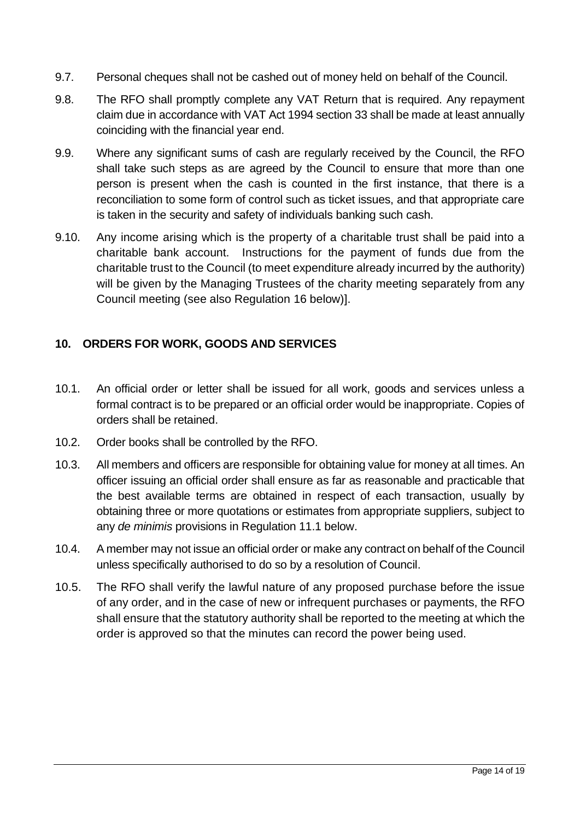- 9.7. Personal cheques shall not be cashed out of money held on behalf of the Council.
- 9.8. The RFO shall promptly complete any VAT Return that is required. Any repayment claim due in accordance with VAT Act 1994 section 33 shall be made at least annually coinciding with the financial year end.
- 9.9. Where any significant sums of cash are regularly received by the Council, the RFO shall take such steps as are agreed by the Council to ensure that more than one person is present when the cash is counted in the first instance, that there is a reconciliation to some form of control such as ticket issues, and that appropriate care is taken in the security and safety of individuals banking such cash.
- 9.10. Any income arising which is the property of a charitable trust shall be paid into a charitable bank account. Instructions for the payment of funds due from the charitable trust to the Council (to meet expenditure already incurred by the authority) will be given by the Managing Trustees of the charity meeting separately from any Council meeting (see also Regulation 16 below)].

#### <span id="page-13-0"></span>**10. ORDERS FOR WORK, GOODS AND SERVICES**

- 10.1. An official order or letter shall be issued for all work, goods and services unless a formal contract is to be prepared or an official order would be inappropriate. Copies of orders shall be retained.
- 10.2. Order books shall be controlled by the RFO.
- 10.3. All members and officers are responsible for obtaining value for money at all times. An officer issuing an official order shall ensure as far as reasonable and practicable that the best available terms are obtained in respect of each transaction, usually by obtaining three or more quotations or estimates from appropriate suppliers, subject to any *de minimis* provisions in Regulation 11.1 below.
- 10.4. A member may not issue an official order or make any contract on behalf of the Council unless specifically authorised to do so by a resolution of Council.
- 10.5. The RFO shall verify the lawful nature of any proposed purchase before the issue of any order, and in the case of new or infrequent purchases or payments, the RFO shall ensure that the statutory authority shall be reported to the meeting at which the order is approved so that the minutes can record the power being used.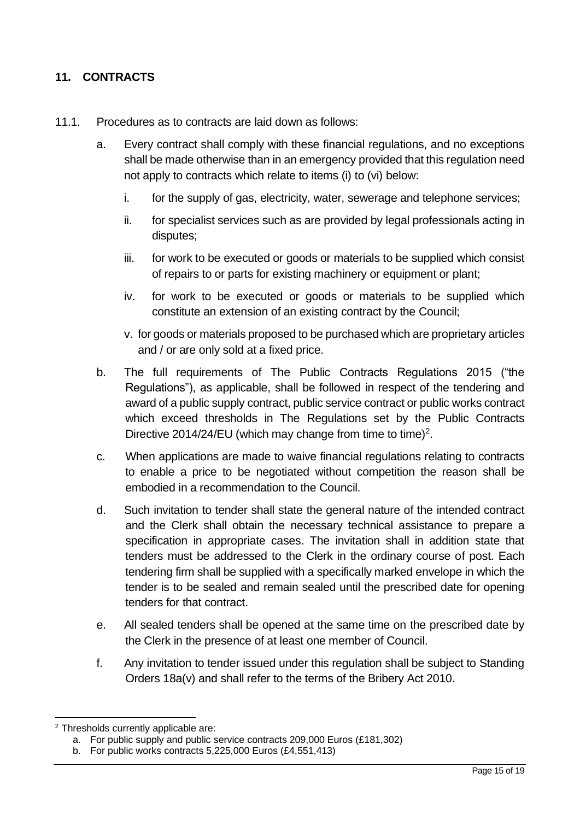# <span id="page-14-0"></span>**11. CONTRACTS**

- 11.1. Procedures as to contracts are laid down as follows:
	- a. Every contract shall comply with these financial regulations, and no exceptions shall be made otherwise than in an emergency provided that this regulation need not apply to contracts which relate to items (i) to (vi) below:
		- i. for the supply of gas, electricity, water, sewerage and telephone services;
		- ii. for specialist services such as are provided by legal professionals acting in disputes;
		- iii. for work to be executed or goods or materials to be supplied which consist of repairs to or parts for existing machinery or equipment or plant;
		- iv. for work to be executed or goods or materials to be supplied which constitute an extension of an existing contract by the Council;
		- v. for goods or materials proposed to be purchased which are proprietary articles and / or are only sold at a fixed price.
	- b. The full requirements of The Public Contracts Regulations 2015 ("the Regulations"), as applicable, shall be followed in respect of the tendering and award of a public supply contract, public service contract or public works contract which exceed thresholds in The Regulations set by the Public Contracts Directive 2014/24/EU (which may change from time to time)<sup>2</sup>.
	- c. When applications are made to waive financial regulations relating to contracts to enable a price to be negotiated without competition the reason shall be embodied in a recommendation to the Council.
	- d. Such invitation to tender shall state the general nature of the intended contract and the Clerk shall obtain the necessary technical assistance to prepare a specification in appropriate cases. The invitation shall in addition state that tenders must be addressed to the Clerk in the ordinary course of post. Each tendering firm shall be supplied with a specifically marked envelope in which the tender is to be sealed and remain sealed until the prescribed date for opening tenders for that contract.
	- e. All sealed tenders shall be opened at the same time on the prescribed date by the Clerk in the presence of at least one member of Council.
	- f. Any invitation to tender issued under this regulation shall be subject to Standing Orders 18a(v) and shall refer to the terms of the Bribery Act 2010.

<sup>2</sup> Thresholds currently applicable are:

a. For public supply and public service contracts 209,000 Euros (£181,302)

b. For public works contracts 5,225,000 Euros (£4,551,413)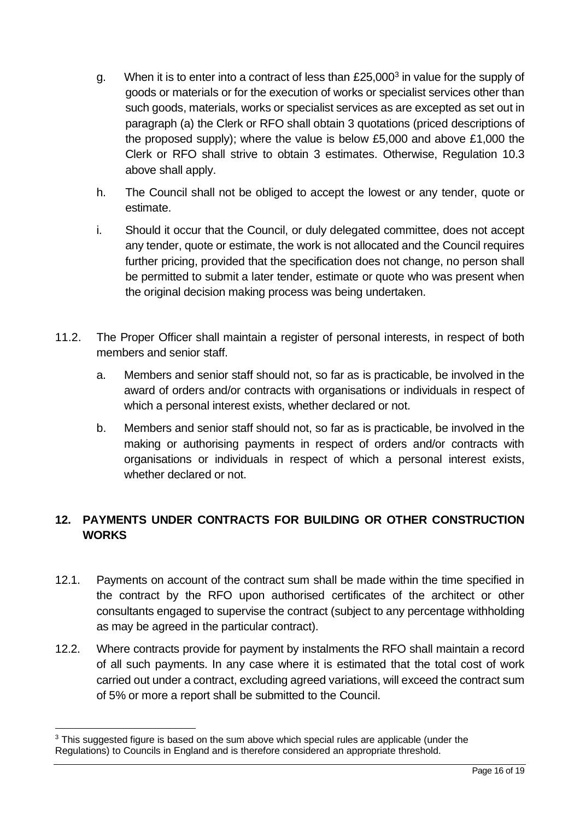- g. When it is to enter into a contract of less than  $£25,000<sup>3</sup>$  in value for the supply of goods or materials or for the execution of works or specialist services other than such goods, materials, works or specialist services as are excepted as set out in paragraph (a) the Clerk or RFO shall obtain 3 quotations (priced descriptions of the proposed supply); where the value is below £5,000 and above £1,000 the Clerk or RFO shall strive to obtain 3 estimates. Otherwise, Regulation 10.3 above shall apply.
- h. The Council shall not be obliged to accept the lowest or any tender, quote or estimate.
- i. Should it occur that the Council, or duly delegated committee, does not accept any tender, quote or estimate, the work is not allocated and the Council requires further pricing, provided that the specification does not change, no person shall be permitted to submit a later tender, estimate or quote who was present when the original decision making process was being undertaken.
- 11.2. The Proper Officer shall maintain a register of personal interests, in respect of both members and senior staff.
	- a. Members and senior staff should not, so far as is practicable, be involved in the award of orders and/or contracts with organisations or individuals in respect of which a personal interest exists, whether declared or not.
	- b. Members and senior staff should not, so far as is practicable, be involved in the making or authorising payments in respect of orders and/or contracts with organisations or individuals in respect of which a personal interest exists, whether declared or not.

# <span id="page-15-0"></span>**12. PAYMENTS UNDER CONTRACTS FOR BUILDING OR OTHER CONSTRUCTION WORKS**

- 12.1. Payments on account of the contract sum shall be made within the time specified in the contract by the RFO upon authorised certificates of the architect or other consultants engaged to supervise the contract (subject to any percentage withholding as may be agreed in the particular contract).
- 12.2. Where contracts provide for payment by instalments the RFO shall maintain a record of all such payments. In any case where it is estimated that the total cost of work carried out under a contract, excluding agreed variations, will exceed the contract sum of 5% or more a report shall be submitted to the Council.

<sup>&</sup>lt;sup>3</sup> This suggested figure is based on the sum above which special rules are applicable (under the Regulations) to Councils in England and is therefore considered an appropriate threshold.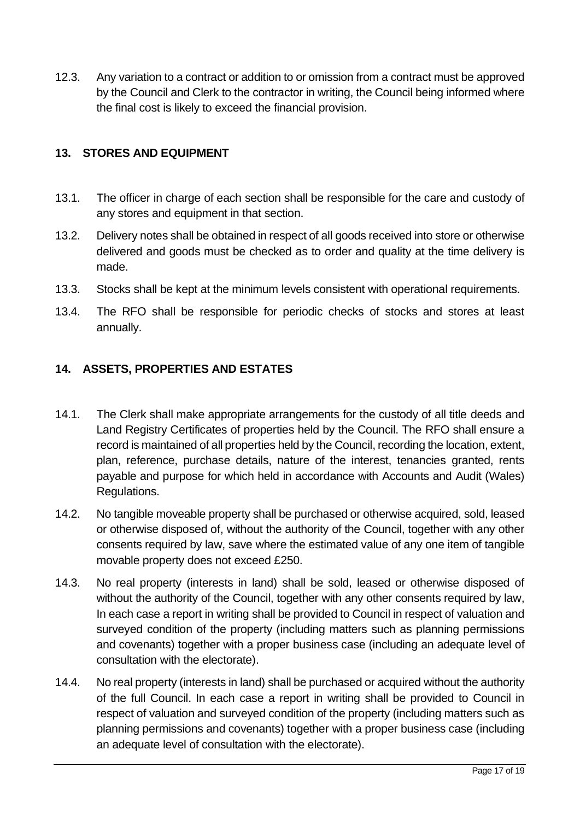12.3. Any variation to a contract or addition to or omission from a contract must be approved by the Council and Clerk to the contractor in writing, the Council being informed where the final cost is likely to exceed the financial provision.

#### <span id="page-16-0"></span>**13. STORES AND EQUIPMENT**

- 13.1. The officer in charge of each section shall be responsible for the care and custody of any stores and equipment in that section.
- 13.2. Delivery notes shall be obtained in respect of all goods received into store or otherwise delivered and goods must be checked as to order and quality at the time delivery is made.
- 13.3. Stocks shall be kept at the minimum levels consistent with operational requirements.
- 13.4. The RFO shall be responsible for periodic checks of stocks and stores at least annually.

## <span id="page-16-1"></span>**14. ASSETS, PROPERTIES AND ESTATES**

- 14.1. The Clerk shall make appropriate arrangements for the custody of all title deeds and Land Registry Certificates of properties held by the Council. The RFO shall ensure a record is maintained of all properties held by the Council, recording the location, extent, plan, reference, purchase details, nature of the interest, tenancies granted, rents payable and purpose for which held in accordance with Accounts and Audit (Wales) Regulations.
- 14.2. No tangible moveable property shall be purchased or otherwise acquired, sold, leased or otherwise disposed of, without the authority of the Council, together with any other consents required by law, save where the estimated value of any one item of tangible movable property does not exceed £250.
- 14.3. No real property (interests in land) shall be sold, leased or otherwise disposed of without the authority of the Council, together with any other consents required by law, In each case a report in writing shall be provided to Council in respect of valuation and surveyed condition of the property (including matters such as planning permissions and covenants) together with a proper business case (including an adequate level of consultation with the electorate).
- 14.4. No real property (interests in land) shall be purchased or acquired without the authority of the full Council. In each case a report in writing shall be provided to Council in respect of valuation and surveyed condition of the property (including matters such as planning permissions and covenants) together with a proper business case (including an adequate level of consultation with the electorate).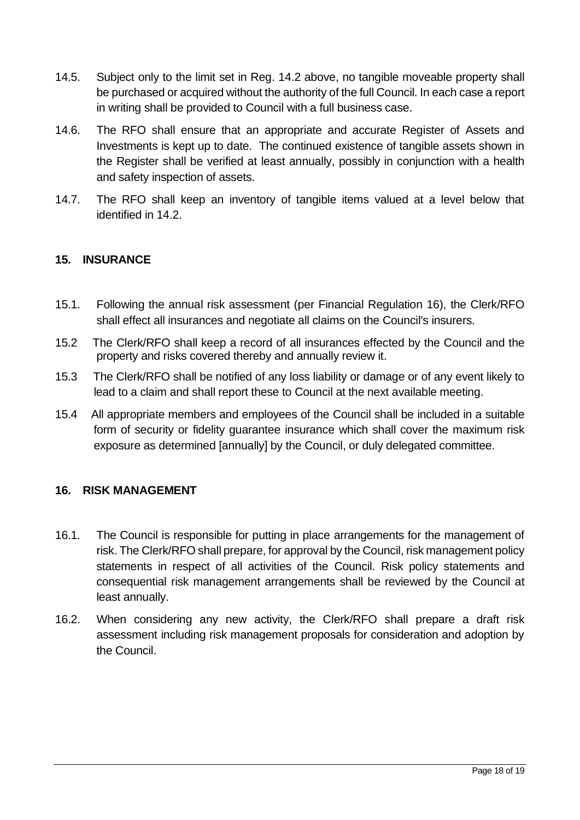- 14.5. Subject only to the limit set in Reg. 14.2 above, no tangible moveable property shall be purchased or acquired without the authority of the full Council. In each case a report in writing shall be provided to Council with a full business case.
- 14.6. The RFO shall ensure that an appropriate and accurate Register of Assets and Investments is kept up to date. The continued existence of tangible assets shown in the Register shall be verified at least annually, possibly in conjunction with a health and safety inspection of assets.
- 14.7. The RFO shall keep an inventory of tangible items valued at a level below that identified in 14.2.

## <span id="page-17-0"></span>**15. INSURANCE**

- 15.1. Following the annual risk assessment (per Financial Regulation 16), the Clerk/RFO shall effect all insurances and negotiate all claims on the Council's insurers.
- 15.2 The Clerk/RFO shall keep a record of all insurances effected by the Council and the property and risks covered thereby and annually review it.
- 15.3 The Clerk/RFO shall be notified of any loss liability or damage or of any event likely to lead to a claim and shall report these to Council at the next available meeting.
- 15.4 All appropriate members and employees of the Council shall be included in a suitable form of security or fidelity guarantee insurance which shall cover the maximum risk exposure as determined [annually] by the Council, or duly delegated committee.

#### <span id="page-17-1"></span>**16. RISK MANAGEMENT**

- 16.1. The Council is responsible for putting in place arrangements for the management of risk. The Clerk/RFO shall prepare, for approval by the Council, risk management policy statements in respect of all activities of the Council. Risk policy statements and consequential risk management arrangements shall be reviewed by the Council at least annually.
- 16.2. When considering any new activity, the Clerk/RFO shall prepare a draft risk assessment including risk management proposals for consideration and adoption by the Council.